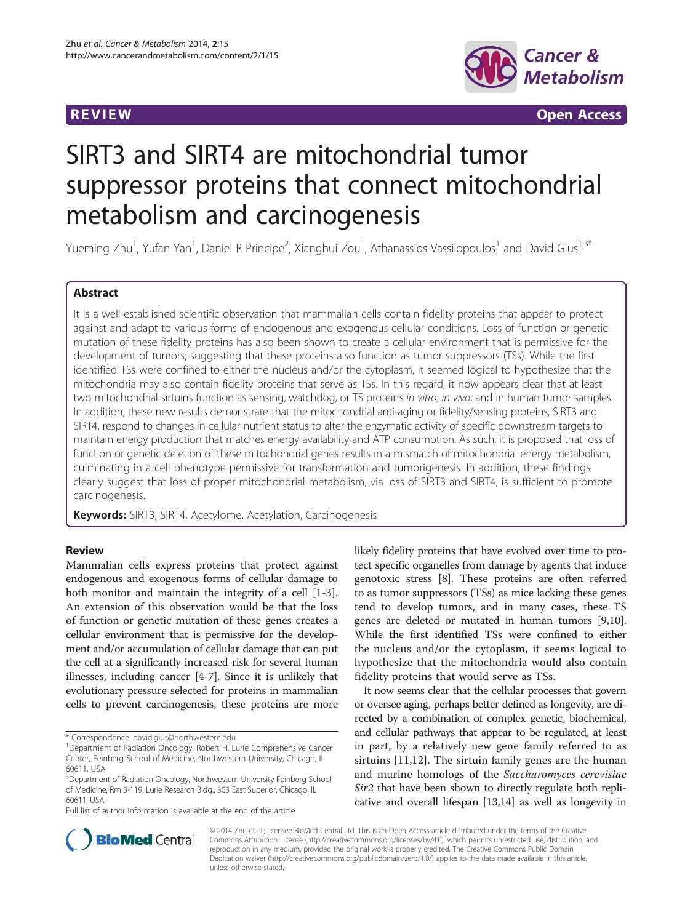

 $\mathbf{P}_\text{R}$  . The contract of the contract of the contract of the contract of the contract of the contract of the contract of the contract of the contract of the contract of the contract of the contract of the contract

# SIRT3 and SIRT4 are mitochondrial tumor suppressor proteins that connect mitochondrial metabolism and carcinogenesis

Yueming Zhu<sup>1</sup>, Yufan Yan<sup>1</sup>, Daniel R Principe<sup>2</sup>, Xianghui Zou<sup>1</sup>, Athanassios Vassilopoulos<sup>1</sup> and David Gius<sup>1,3\*</sup>

# **Abstract**

It is a well-established scientific observation that mammalian cells contain fidelity proteins that appear to protect against and adapt to various forms of endogenous and exogenous cellular conditions. Loss of function or genetic mutation of these fidelity proteins has also been shown to create a cellular environment that is permissive for the development of tumors, suggesting that these proteins also function as tumor suppressors (TSs). While the first identified TSs were confined to either the nucleus and/or the cytoplasm, it seemed logical to hypothesize that the mitochondria may also contain fidelity proteins that serve as TSs. In this regard, it now appears clear that at least two mitochondrial sirtuins function as sensing, watchdog, or TS proteins in vitro, in vivo, and in human tumor samples. In addition, these new results demonstrate that the mitochondrial anti-aging or fidelity/sensing proteins, SIRT3 and SIRT4, respond to changes in cellular nutrient status to alter the enzymatic activity of specific downstream targets to maintain energy production that matches energy availability and ATP consumption. As such, it is proposed that loss of function or genetic deletion of these mitochondrial genes results in a mismatch of mitochondrial energy metabolism, culminating in a cell phenotype permissive for transformation and tumorigenesis. In addition, these findings clearly suggest that loss of proper mitochondrial metabolism, via loss of SIRT3 and SIRT4, is sufficient to promote carcinogenesis.

Keywords: SIRT3, SIRT4, Acetylome, Acetylation, Carcinogenesis

# **Review**

Mammalian cells express proteins that protect against endogenous and exogenous forms of cellular damage to both monitor and maintain the integrity of a cell [[1-3](#page-8-0)]. An extension of this observation would be that the loss of function or genetic mutation of these genes creates a cellular environment that is permissive for the development and/or accumulation of cellular damage that can put the cell at a significantly increased risk for several human illnesses, including cancer [[4-7\]](#page-8-0). Since it is unlikely that evolutionary pressure selected for proteins in mammalian cells to prevent carcinogenesis, these proteins are more

Full list of author information is available at the end of the article

likely fidelity proteins that have evolved over time to protect specific organelles from damage by agents that induce genotoxic stress [[8\]](#page-8-0). These proteins are often referred to as tumor suppressors (TSs) as mice lacking these genes tend to develop tumors, and in many cases, these TS genes are deleted or mutated in human tumors [[9,10](#page-8-0)]. While the first identified TSs were confined to either the nucleus and/or the cytoplasm, it seems logical to hypothesize that the mitochondria would also contain fidelity proteins that would serve as TSs.

It now seems clear that the cellular processes that govern or oversee aging, perhaps better defined as longevity, are directed by a combination of complex genetic, biochemical, and cellular pathways that appear to be regulated, at least in part, by a relatively new gene family referred to as sirtuins [[11,12](#page-8-0)]. The sirtuin family genes are the human and murine homologs of the Saccharomyces cerevisiae Sir2 that have been shown to directly regulate both replicative and overall lifespan [\[13,14\]](#page-8-0) as well as longevity in



© 2014 Zhu et al.; licensee BioMed Central Ltd. This is an Open Access article distributed under the terms of the Creative Commons Attribution License [\(http://creativecommons.org/licenses/by/4.0\)](http://creativecommons.org/licenses/by/4.0), which permits unrestricted use, distribution, and reproduction in any medium, provided the original work is properly credited. The Creative Commons Public Domain Dedication waiver [\(http://creativecommons.org/publicdomain/zero/1.0/](http://creativecommons.org/publicdomain/zero/1.0/)) applies to the data made available in this article, unless otherwise stated.

<sup>\*</sup> Correspondence: [david.gius@northwestern.edu](mailto:david.gius@northwestern.edu) <sup>1</sup>

<sup>&</sup>lt;sup>1</sup>Department of Radiation Oncology, Robert H. Lurie Comprehensive Cancer Center, Feinberg School of Medicine, Northwestern University, Chicago, IL 60611, USA

<sup>&</sup>lt;sup>3</sup>Department of Radiation Oncology, Northwestern University Feinberg School of Medicine, Rm 3-119, Lurie Research Bldg., 303 East Superior, Chicago, IL 60611, USA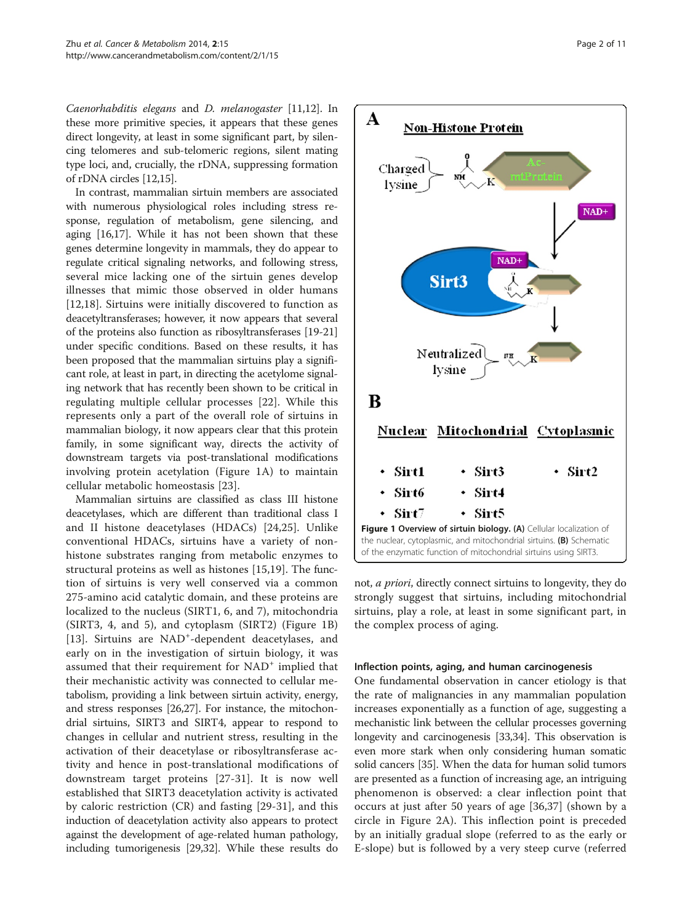Caenorhabditis elegans and D. melanogaster [[11,12\]](#page-8-0). In these more primitive species, it appears that these genes direct longevity, at least in some significant part, by silencing telomeres and sub-telomeric regions, silent mating type loci, and, crucially, the rDNA, suppressing formation of rDNA circles [\[12,15\]](#page-8-0).

In contrast, mammalian sirtuin members are associated with numerous physiological roles including stress response, regulation of metabolism, gene silencing, and aging [\[16,17](#page-8-0)]. While it has not been shown that these genes determine longevity in mammals, they do appear to regulate critical signaling networks, and following stress, several mice lacking one of the sirtuin genes develop illnesses that mimic those observed in older humans [[12,18](#page-8-0)]. Sirtuins were initially discovered to function as deacetyltransferases; however, it now appears that several of the proteins also function as ribosyltransferases [[19](#page-8-0)-[21](#page-8-0)] under specific conditions. Based on these results, it has been proposed that the mammalian sirtuins play a significant role, at least in part, in directing the acetylome signaling network that has recently been shown to be critical in regulating multiple cellular processes [\[22](#page-8-0)]. While this represents only a part of the overall role of sirtuins in mammalian biology, it now appears clear that this protein family, in some significant way, directs the activity of downstream targets via post-translational modifications involving protein acetylation (Figure 1A) to maintain cellular metabolic homeostasis [[23\]](#page-8-0).

Mammalian sirtuins are classified as class III histone deacetylases, which are different than traditional class I and II histone deacetylases (HDACs) [[24,25](#page-8-0)]. Unlike conventional HDACs, sirtuins have a variety of nonhistone substrates ranging from metabolic enzymes to structural proteins as well as histones [[15,19](#page-8-0)]. The function of sirtuins is very well conserved via a common 275-amino acid catalytic domain, and these proteins are localized to the nucleus (SIRT1, 6, and 7), mitochondria (SIRT3, 4, and 5), and cytoplasm (SIRT2) (Figure 1B) [[13\]](#page-8-0). Sirtuins are NAD<sup>+</sup>-dependent deacetylases, and early on in the investigation of sirtuin biology, it was assumed that their requirement for NAD<sup>+</sup> implied that their mechanistic activity was connected to cellular metabolism, providing a link between sirtuin activity, energy, and stress responses [\[26,27\]](#page-8-0). For instance, the mitochondrial sirtuins, SIRT3 and SIRT4, appear to respond to changes in cellular and nutrient stress, resulting in the activation of their deacetylase or ribosyltransferase activity and hence in post-translational modifications of downstream target proteins [\[27](#page-8-0)-[31](#page-8-0)]. It is now well established that SIRT3 deacetylation activity is activated by caloric restriction (CR) and fasting [[29-31\]](#page-8-0), and this induction of deacetylation activity also appears to protect against the development of age-related human pathology, including tumorigenesis [[29,32](#page-8-0)]. While these results do



not, a priori, directly connect sirtuins to longevity, they do strongly suggest that sirtuins, including mitochondrial sirtuins, play a role, at least in some significant part, in the complex process of aging.

### Inflection points, aging, and human carcinogenesis

One fundamental observation in cancer etiology is that the rate of malignancies in any mammalian population increases exponentially as a function of age, suggesting a mechanistic link between the cellular processes governing longevity and carcinogenesis [\[33,34](#page-8-0)]. This observation is even more stark when only considering human somatic solid cancers [\[35\]](#page-8-0). When the data for human solid tumors are presented as a function of increasing age, an intriguing phenomenon is observed: a clear inflection point that occurs at just after 50 years of age [\[36](#page-8-0)[,37](#page-9-0)] (shown by a circle in Figure [2A](#page-2-0)). This inflection point is preceded by an initially gradual slope (referred to as the early or E-slope) but is followed by a very steep curve (referred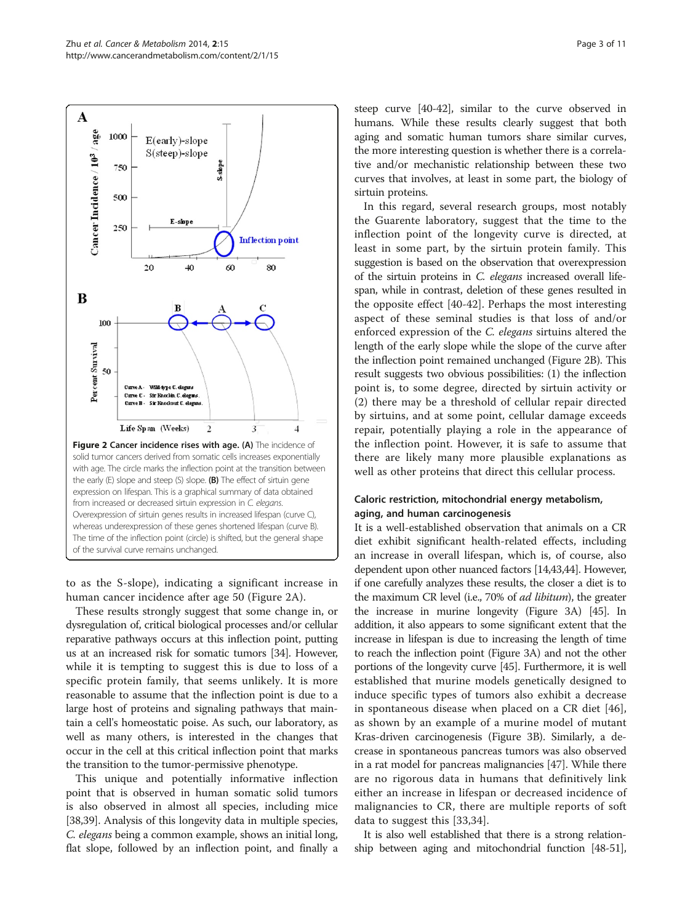<span id="page-2-0"></span>

to as the S-slope), indicating a significant increase in human cancer incidence after age 50 (Figure 2A).

These results strongly suggest that some change in, or dysregulation of, critical biological processes and/or cellular reparative pathways occurs at this inflection point, putting us at an increased risk for somatic tumors [[34](#page-8-0)]. However, while it is tempting to suggest this is due to loss of a specific protein family, that seems unlikely. It is more reasonable to assume that the inflection point is due to a large host of proteins and signaling pathways that maintain a cell's homeostatic poise. As such, our laboratory, as well as many others, is interested in the changes that occur in the cell at this critical inflection point that marks the transition to the tumor-permissive phenotype.

This unique and potentially informative inflection point that is observed in human somatic solid tumors is also observed in almost all species, including mice [[38,39](#page-9-0)]. Analysis of this longevity data in multiple species, C. elegans being a common example, shows an initial long, flat slope, followed by an inflection point, and finally a

steep curve [\[40-42\]](#page-9-0), similar to the curve observed in humans. While these results clearly suggest that both aging and somatic human tumors share similar curves, the more interesting question is whether there is a correlative and/or mechanistic relationship between these two curves that involves, at least in some part, the biology of sirtuin proteins.

In this regard, several research groups, most notably the Guarente laboratory, suggest that the time to the inflection point of the longevity curve is directed, at least in some part, by the sirtuin protein family. This suggestion is based on the observation that overexpression of the sirtuin proteins in C. elegans increased overall lifespan, while in contrast, deletion of these genes resulted in the opposite effect [[40-42\]](#page-9-0). Perhaps the most interesting aspect of these seminal studies is that loss of and/or enforced expression of the C. elegans sirtuins altered the length of the early slope while the slope of the curve after the inflection point remained unchanged (Figure 2B). This result suggests two obvious possibilities: (1) the inflection point is, to some degree, directed by sirtuin activity or (2) there may be a threshold of cellular repair directed by sirtuins, and at some point, cellular damage exceeds repair, potentially playing a role in the appearance of the inflection point. However, it is safe to assume that there are likely many more plausible explanations as well as other proteins that direct this cellular process.

# Caloric restriction, mitochondrial energy metabolism, aging, and human carcinogenesis

It is a well-established observation that animals on a CR diet exhibit significant health-related effects, including an increase in overall lifespan, which is, of course, also dependent upon other nuanced factors [\[14](#page-8-0)[,43,44](#page-9-0)]. However, if one carefully analyzes these results, the closer a diet is to the maximum CR level (i.e., 70% of ad libitum), the greater the increase in murine longevity (Figure [3](#page-3-0)A) [\[45\]](#page-9-0). In addition, it also appears to some significant extent that the increase in lifespan is due to increasing the length of time to reach the inflection point (Figure [3](#page-3-0)A) and not the other portions of the longevity curve [[45](#page-9-0)]. Furthermore, it is well established that murine models genetically designed to induce specific types of tumors also exhibit a decrease in spontaneous disease when placed on a CR diet [\[46](#page-9-0)], as shown by an example of a murine model of mutant Kras-driven carcinogenesis (Figure [3B](#page-3-0)). Similarly, a decrease in spontaneous pancreas tumors was also observed in a rat model for pancreas malignancies [\[47](#page-9-0)]. While there are no rigorous data in humans that definitively link either an increase in lifespan or decreased incidence of malignancies to CR, there are multiple reports of soft data to suggest this [\[33,34](#page-8-0)].

It is also well established that there is a strong relationship between aging and mitochondrial function [\[48-51](#page-9-0)],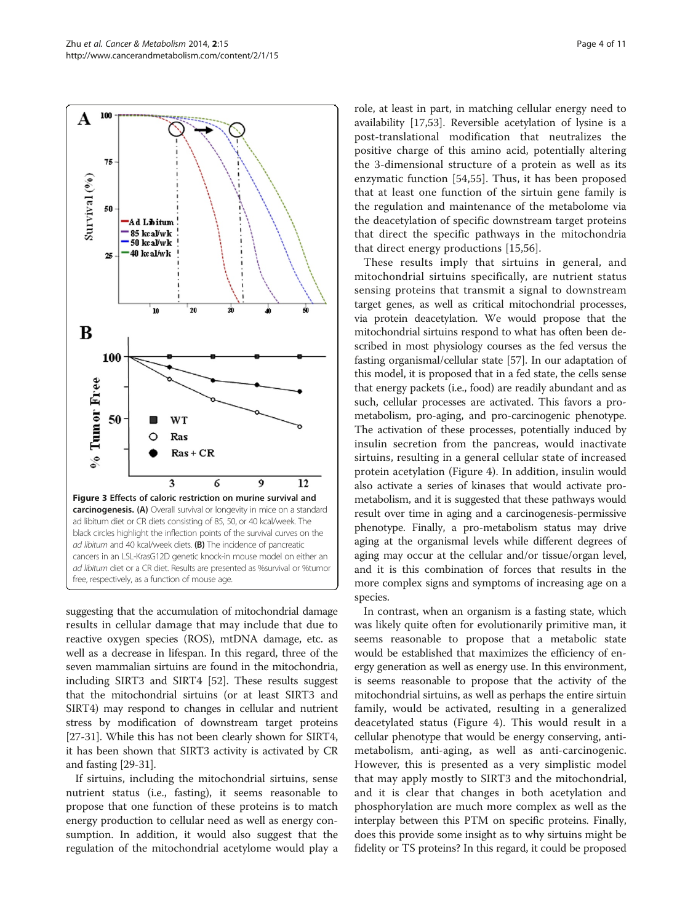<span id="page-3-0"></span>

suggesting that the accumulation of mitochondrial damage results in cellular damage that may include that due to reactive oxygen species (ROS), mtDNA damage, etc. as well as a decrease in lifespan. In this regard, three of the seven mammalian sirtuins are found in the mitochondria, including SIRT3 and SIRT4 [[52](#page-9-0)]. These results suggest that the mitochondrial sirtuins (or at least SIRT3 and SIRT4) may respond to changes in cellular and nutrient stress by modification of downstream target proteins [[27](#page-8-0)-[31\]](#page-8-0). While this has not been clearly shown for SIRT4, it has been shown that SIRT3 activity is activated by CR and fasting [\[29-31\]](#page-8-0).

If sirtuins, including the mitochondrial sirtuins, sense nutrient status (i.e., fasting), it seems reasonable to propose that one function of these proteins is to match energy production to cellular need as well as energy consumption. In addition, it would also suggest that the regulation of the mitochondrial acetylome would play a role, at least in part, in matching cellular energy need to availability [[17](#page-8-0),[53](#page-9-0)]. Reversible acetylation of lysine is a post-translational modification that neutralizes the positive charge of this amino acid, potentially altering the 3-dimensional structure of a protein as well as its enzymatic function [[54,55](#page-9-0)]. Thus, it has been proposed that at least one function of the sirtuin gene family is the regulation and maintenance of the metabolome via the deacetylation of specific downstream target proteins that direct the specific pathways in the mitochondria that direct energy productions [[15,](#page-8-0)[56\]](#page-9-0).

These results imply that sirtuins in general, and mitochondrial sirtuins specifically, are nutrient status sensing proteins that transmit a signal to downstream target genes, as well as critical mitochondrial processes, via protein deacetylation. We would propose that the mitochondrial sirtuins respond to what has often been described in most physiology courses as the fed versus the fasting organismal/cellular state [[57](#page-9-0)]. In our adaptation of this model, it is proposed that in a fed state, the cells sense that energy packets (i.e., food) are readily abundant and as such, cellular processes are activated. This favors a prometabolism, pro-aging, and pro-carcinogenic phenotype. The activation of these processes, potentially induced by insulin secretion from the pancreas, would inactivate sirtuins, resulting in a general cellular state of increased protein acetylation (Figure [4](#page-4-0)). In addition, insulin would also activate a series of kinases that would activate prometabolism, and it is suggested that these pathways would result over time in aging and a carcinogenesis-permissive phenotype. Finally, a pro-metabolism status may drive aging at the organismal levels while different degrees of aging may occur at the cellular and/or tissue/organ level, and it is this combination of forces that results in the more complex signs and symptoms of increasing age on a species.

In contrast, when an organism is a fasting state, which was likely quite often for evolutionarily primitive man, it seems reasonable to propose that a metabolic state would be established that maximizes the efficiency of energy generation as well as energy use. In this environment, is seems reasonable to propose that the activity of the mitochondrial sirtuins, as well as perhaps the entire sirtuin family, would be activated, resulting in a generalized deacetylated status (Figure [4](#page-4-0)). This would result in a cellular phenotype that would be energy conserving, antimetabolism, anti-aging, as well as anti-carcinogenic. However, this is presented as a very simplistic model that may apply mostly to SIRT3 and the mitochondrial, and it is clear that changes in both acetylation and phosphorylation are much more complex as well as the interplay between this PTM on specific proteins. Finally, does this provide some insight as to why sirtuins might be fidelity or TS proteins? In this regard, it could be proposed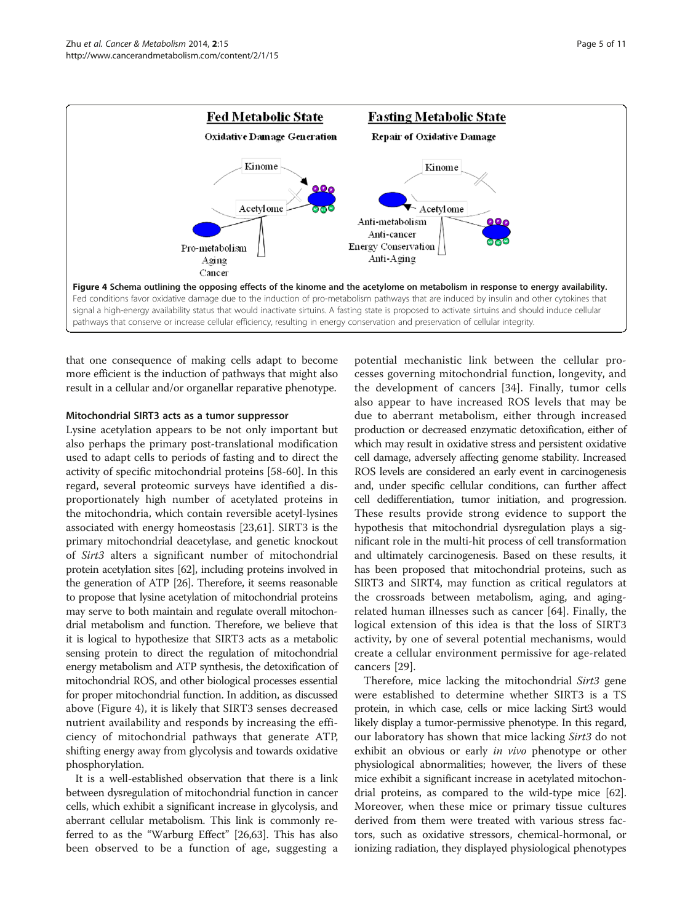<span id="page-4-0"></span>

that one consequence of making cells adapt to become more efficient is the induction of pathways that might also result in a cellular and/or organellar reparative phenotype.

# Mitochondrial SIRT3 acts as a tumor suppressor

Lysine acetylation appears to be not only important but also perhaps the primary post-translational modification used to adapt cells to periods of fasting and to direct the activity of specific mitochondrial proteins [[58-60\]](#page-9-0). In this regard, several proteomic surveys have identified a disproportionately high number of acetylated proteins in the mitochondria, which contain reversible acetyl-lysines associated with energy homeostasis [[23,](#page-8-0)[61\]](#page-9-0). SIRT3 is the primary mitochondrial deacetylase, and genetic knockout of Sirt3 alters a significant number of mitochondrial protein acetylation sites [\[62\]](#page-9-0), including proteins involved in the generation of ATP [[26](#page-8-0)]. Therefore, it seems reasonable to propose that lysine acetylation of mitochondrial proteins may serve to both maintain and regulate overall mitochondrial metabolism and function. Therefore, we believe that it is logical to hypothesize that SIRT3 acts as a metabolic sensing protein to direct the regulation of mitochondrial energy metabolism and ATP synthesis, the detoxification of mitochondrial ROS, and other biological processes essential for proper mitochondrial function. In addition, as discussed above (Figure 4), it is likely that SIRT3 senses decreased nutrient availability and responds by increasing the efficiency of mitochondrial pathways that generate ATP, shifting energy away from glycolysis and towards oxidative phosphorylation.

It is a well-established observation that there is a link between dysregulation of mitochondrial function in cancer cells, which exhibit a significant increase in glycolysis, and aberrant cellular metabolism. This link is commonly referred to as the "Warburg Effect" [\[26](#page-8-0)[,63\]](#page-9-0). This has also been observed to be a function of age, suggesting a

potential mechanistic link between the cellular processes governing mitochondrial function, longevity, and the development of cancers [\[34](#page-8-0)]. Finally, tumor cells also appear to have increased ROS levels that may be due to aberrant metabolism, either through increased production or decreased enzymatic detoxification, either of which may result in oxidative stress and persistent oxidative cell damage, adversely affecting genome stability. Increased ROS levels are considered an early event in carcinogenesis and, under specific cellular conditions, can further affect cell dedifferentiation, tumor initiation, and progression. These results provide strong evidence to support the hypothesis that mitochondrial dysregulation plays a significant role in the multi-hit process of cell transformation and ultimately carcinogenesis. Based on these results, it has been proposed that mitochondrial proteins, such as SIRT3 and SIRT4, may function as critical regulators at the crossroads between metabolism, aging, and agingrelated human illnesses such as cancer [[64\]](#page-9-0). Finally, the logical extension of this idea is that the loss of SIRT3 activity, by one of several potential mechanisms, would create a cellular environment permissive for age-related cancers [[29](#page-8-0)].

Therefore, mice lacking the mitochondrial Sirt3 gene were established to determine whether SIRT3 is a TS protein, in which case, cells or mice lacking Sirt3 would likely display a tumor-permissive phenotype. In this regard, our laboratory has shown that mice lacking *Sirt3* do not exhibit an obvious or early in vivo phenotype or other physiological abnormalities; however, the livers of these mice exhibit a significant increase in acetylated mitochondrial proteins, as compared to the wild-type mice [[62](#page-9-0)]. Moreover, when these mice or primary tissue cultures derived from them were treated with various stress factors, such as oxidative stressors, chemical-hormonal, or ionizing radiation, they displayed physiological phenotypes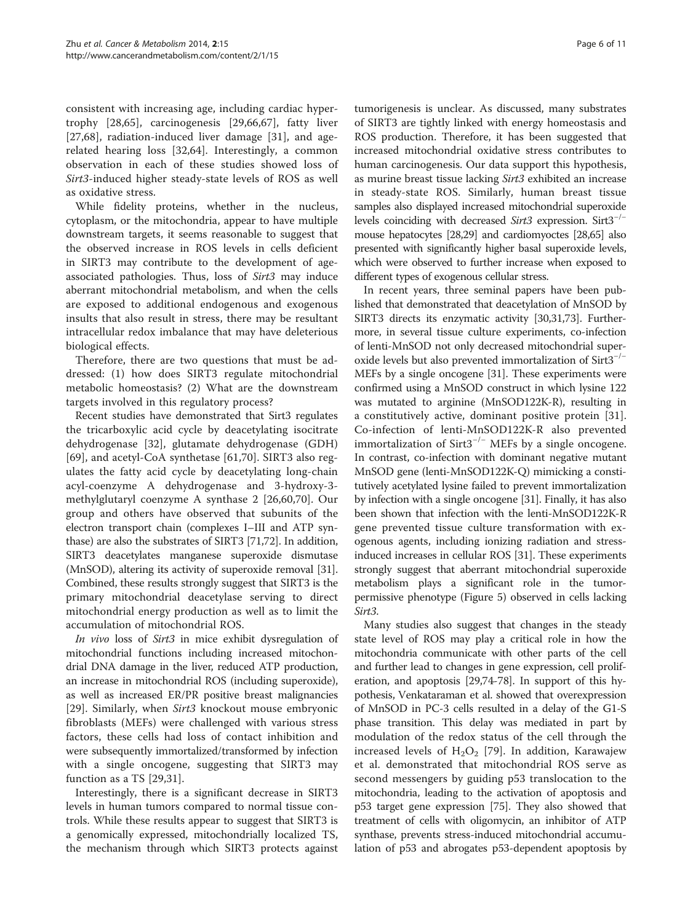consistent with increasing age, including cardiac hypertrophy [\[28](#page-8-0),[65\]](#page-9-0), carcinogenesis [[29](#page-8-0)[,66,67](#page-9-0)], fatty liver [[27](#page-8-0)[,68](#page-9-0)], radiation-induced liver damage [\[31](#page-8-0)], and agerelated hearing loss [\[32](#page-8-0)[,64](#page-9-0)]. Interestingly, a common observation in each of these studies showed loss of Sirt3-induced higher steady-state levels of ROS as well as oxidative stress.

While fidelity proteins, whether in the nucleus, cytoplasm, or the mitochondria, appear to have multiple downstream targets, it seems reasonable to suggest that the observed increase in ROS levels in cells deficient in SIRT3 may contribute to the development of ageassociated pathologies. Thus, loss of Sirt3 may induce aberrant mitochondrial metabolism, and when the cells are exposed to additional endogenous and exogenous insults that also result in stress, there may be resultant intracellular redox imbalance that may have deleterious biological effects.

Therefore, there are two questions that must be addressed: (1) how does SIRT3 regulate mitochondrial metabolic homeostasis? (2) What are the downstream targets involved in this regulatory process?

Recent studies have demonstrated that Sirt3 regulates the tricarboxylic acid cycle by deacetylating isocitrate dehydrogenase [\[32](#page-8-0)], glutamate dehydrogenase (GDH) [[69\]](#page-9-0), and acetyl-CoA synthetase [\[61](#page-9-0),[70\]](#page-9-0). SIRT3 also regulates the fatty acid cycle by deacetylating long-chain acyl-coenzyme A dehydrogenase and 3-hydroxy-3 methylglutaryl coenzyme A synthase 2 [[26,](#page-8-0)[60,70](#page-9-0)]. Our group and others have observed that subunits of the electron transport chain (complexes I–III and ATP synthase) are also the substrates of SIRT3 [\[71,72](#page-9-0)]. In addition, SIRT3 deacetylates manganese superoxide dismutase (MnSOD), altering its activity of superoxide removal [[31](#page-8-0)]. Combined, these results strongly suggest that SIRT3 is the primary mitochondrial deacetylase serving to direct mitochondrial energy production as well as to limit the accumulation of mitochondrial ROS.

In vivo loss of Sirt3 in mice exhibit dysregulation of mitochondrial functions including increased mitochondrial DNA damage in the liver, reduced ATP production, an increase in mitochondrial ROS (including superoxide), as well as increased ER/PR positive breast malignancies [[29\]](#page-8-0). Similarly, when *Sirt3* knockout mouse embryonic fibroblasts (MEFs) were challenged with various stress factors, these cells had loss of contact inhibition and were subsequently immortalized/transformed by infection with a single oncogene, suggesting that SIRT3 may function as a TS [[29,31](#page-8-0)].

Interestingly, there is a significant decrease in SIRT3 levels in human tumors compared to normal tissue controls. While these results appear to suggest that SIRT3 is a genomically expressed, mitochondrially localized TS, the mechanism through which SIRT3 protects against

tumorigenesis is unclear. As discussed, many substrates of SIRT3 are tightly linked with energy homeostasis and ROS production. Therefore, it has been suggested that increased mitochondrial oxidative stress contributes to human carcinogenesis. Our data support this hypothesis, as murine breast tissue lacking Sirt3 exhibited an increase in steady-state ROS. Similarly, human breast tissue samples also displayed increased mitochondrial superoxide levels coinciding with decreased Sirt3 expression. Sirt3−/<sup>−</sup> mouse hepatocytes [[28,29\]](#page-8-0) and cardiomyoctes [[28](#page-8-0)[,65\]](#page-9-0) also presented with significantly higher basal superoxide levels, which were observed to further increase when exposed to different types of exogenous cellular stress.

In recent years, three seminal papers have been published that demonstrated that deacetylation of MnSOD by SIRT3 directs its enzymatic activity [\[30,31](#page-8-0),[73](#page-9-0)]. Furthermore, in several tissue culture experiments, co-infection of lenti-MnSOD not only decreased mitochondrial superoxide levels but also prevented immortalization of Sirt3−/<sup>−</sup> MEFs by a single oncogene [\[31\]](#page-8-0). These experiments were confirmed using a MnSOD construct in which lysine 122 was mutated to arginine (MnSOD122K-R), resulting in a constitutively active, dominant positive protein [\[31](#page-8-0)]. Co-infection of lenti-MnSOD122K-R also prevented immortalization of Sirt3<sup> $-/-$ </sup> MEFs by a single oncogene. In contrast, co-infection with dominant negative mutant MnSOD gene (lenti-MnSOD122K-Q) mimicking a constitutively acetylated lysine failed to prevent immortalization by infection with a single oncogene [[31](#page-8-0)]. Finally, it has also been shown that infection with the lenti-MnSOD122K-R gene prevented tissue culture transformation with exogenous agents, including ionizing radiation and stressinduced increases in cellular ROS [\[31\]](#page-8-0). These experiments strongly suggest that aberrant mitochondrial superoxide metabolism plays a significant role in the tumorpermissive phenotype (Figure [5](#page-6-0)) observed in cells lacking Sirt3.

Many studies also suggest that changes in the steady state level of ROS may play a critical role in how the mitochondria communicate with other parts of the cell and further lead to changes in gene expression, cell proliferation, and apoptosis [\[29,](#page-8-0)[74](#page-9-0)-[78](#page-9-0)]. In support of this hypothesis, Venkataraman et al. showed that overexpression of MnSOD in PC-3 cells resulted in a delay of the G1-S phase transition. This delay was mediated in part by modulation of the redox status of the cell through the increased levels of  $H_2O_2$  [\[79](#page-9-0)]. In addition, Karawajew et al. demonstrated that mitochondrial ROS serve as second messengers by guiding p53 translocation to the mitochondria, leading to the activation of apoptosis and p53 target gene expression [\[75\]](#page-9-0). They also showed that treatment of cells with oligomycin, an inhibitor of ATP synthase, prevents stress-induced mitochondrial accumulation of p53 and abrogates p53-dependent apoptosis by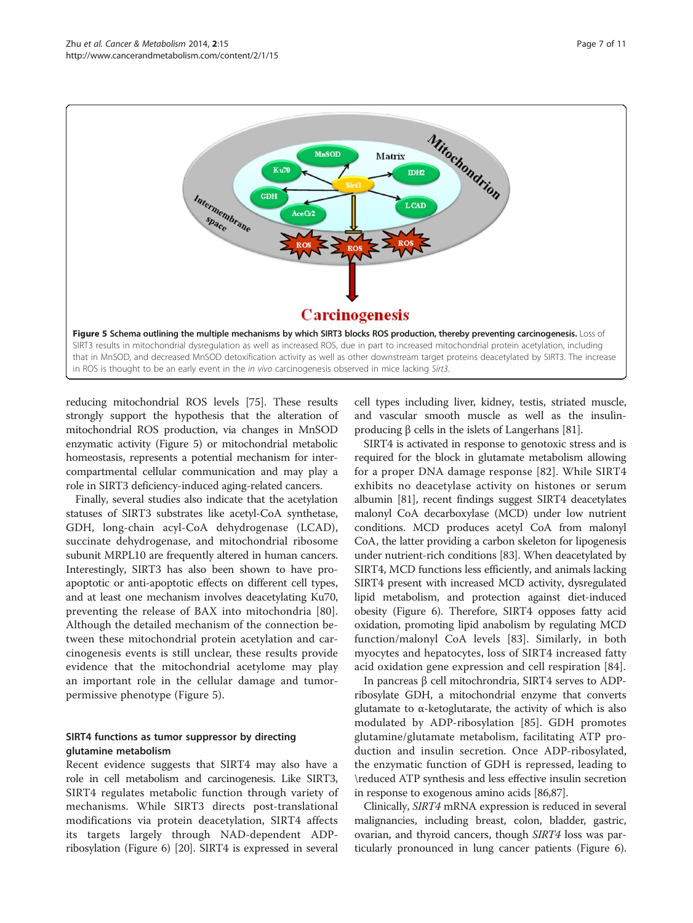<span id="page-6-0"></span>

in ROS is thought to be an early event in the *in vivo* carcinogenesis observed in mice lacking Sirt3.

reducing mitochondrial ROS levels [\[75\]](#page-9-0). These results strongly support the hypothesis that the alteration of mitochondrial ROS production, via changes in MnSOD enzymatic activity (Figure 5) or mitochondrial metabolic homeostasis, represents a potential mechanism for intercompartmental cellular communication and may play a role in SIRT3 deficiency-induced aging-related cancers.

Finally, several studies also indicate that the acetylation statuses of SIRT3 substrates like acetyl-CoA synthetase, GDH, long-chain acyl-CoA dehydrogenase (LCAD), succinate dehydrogenase, and mitochondrial ribosome subunit MRPL10 are frequently altered in human cancers. Interestingly, SIRT3 has also been shown to have proapoptotic or anti-apoptotic effects on different cell types, and at least one mechanism involves deacetylating Ku70, preventing the release of BAX into mitochondria [[80](#page-9-0)]. Although the detailed mechanism of the connection between these mitochondrial protein acetylation and carcinogenesis events is still unclear, these results provide evidence that the mitochondrial acetylome may play an important role in the cellular damage and tumorpermissive phenotype (Figure 5).

# SIRT4 functions as tumor suppressor by directing glutamine metabolism

Recent evidence suggests that SIRT4 may also have a role in cell metabolism and carcinogenesis. Like SIRT3, SIRT4 regulates metabolic function through variety of mechanisms. While SIRT3 directs post-translational modifications via protein deacetylation, SIRT4 affects its targets largely through NAD-dependent ADPribosylation (Figure [6\)](#page-7-0) [\[20\]](#page-8-0). SIRT4 is expressed in several cell types including liver, kidney, testis, striated muscle, and vascular smooth muscle as well as the insulinproducing β cells in the islets of Langerhans [\[81](#page-9-0)].

SIRT4 is activated in response to genotoxic stress and is required for the block in glutamate metabolism allowing for a proper DNA damage response [\[82\]](#page-9-0). While SIRT4 exhibits no deacetylase activity on histones or serum albumin [[81](#page-9-0)], recent findings suggest SIRT4 deacetylates malonyl CoA decarboxylase (MCD) under low nutrient conditions. MCD produces acetyl CoA from malonyl CoA, the latter providing a carbon skeleton for lipogenesis under nutrient-rich conditions [[83](#page-9-0)]. When deacetylated by SIRT4, MCD functions less efficiently, and animals lacking SIRT4 present with increased MCD activity, dysregulated lipid metabolism, and protection against diet-induced obesity (Figure [6\)](#page-7-0). Therefore, SIRT4 opposes fatty acid oxidation, promoting lipid anabolism by regulating MCD function/malonyl CoA levels [\[83](#page-9-0)]. Similarly, in both myocytes and hepatocytes, loss of SIRT4 increased fatty acid oxidation gene expression and cell respiration [[84\]](#page-10-0).

In pancreas β cell mitochrondria, SIRT4 serves to ADPribosylate GDH, a mitochondrial enzyme that converts glutamate to α-ketoglutarate, the activity of which is also modulated by ADP-ribosylation [[85\]](#page-10-0). GDH promotes glutamine/glutamate metabolism, facilitating ATP production and insulin secretion. Once ADP-ribosylated, the enzymatic function of GDH is repressed, leading to \reduced ATP synthesis and less effective insulin secretion in response to exogenous amino acids [\[86,87](#page-10-0)].

Clinically, SIRT4 mRNA expression is reduced in several malignancies, including breast, colon, bladder, gastric, ovarian, and thyroid cancers, though SIRT4 loss was particularly pronounced in lung cancer patients (Figure [6](#page-7-0)).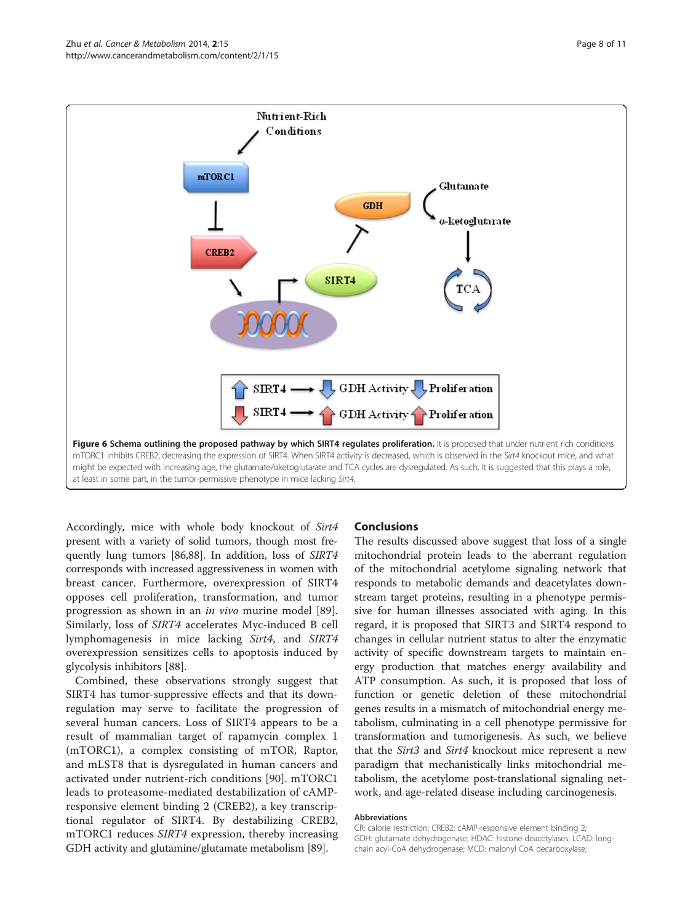<span id="page-7-0"></span>

Accordingly, mice with whole body knockout of Sirt4 present with a variety of solid tumors, though most frequently lung tumors [\[86,88](#page-10-0)]. In addition, loss of SIRT4 corresponds with increased aggressiveness in women with breast cancer. Furthermore, overexpression of SIRT4 opposes cell proliferation, transformation, and tumor progression as shown in an in vivo murine model [\[89](#page-10-0)]. Similarly, loss of SIRT4 accelerates Myc-induced B cell lymphomagenesis in mice lacking Sirt4, and SIRT4 overexpression sensitizes cells to apoptosis induced by glycolysis inhibitors [\[88](#page-10-0)].

Combined, these observations strongly suggest that SIRT4 has tumor-suppressive effects and that its downregulation may serve to facilitate the progression of several human cancers. Loss of SIRT4 appears to be a result of mammalian target of rapamycin complex 1 (mTORC1), a complex consisting of mTOR, Raptor, and mLST8 that is dysregulated in human cancers and activated under nutrient-rich conditions [\[90](#page-10-0)]. mTORC1 leads to proteasome-mediated destabilization of cAMPresponsive element binding 2 (CREB2), a key transcriptional regulator of SIRT4. By destabilizing CREB2, mTORC1 reduces SIRT4 expression, thereby increasing GDH activity and glutamine/glutamate metabolism [\[89\]](#page-10-0).

## **Conclusions**

The results discussed above suggest that loss of a single mitochondrial protein leads to the aberrant regulation of the mitochondrial acetylome signaling network that responds to metabolic demands and deacetylates downstream target proteins, resulting in a phenotype permissive for human illnesses associated with aging. In this regard, it is proposed that SIRT3 and SIRT4 respond to changes in cellular nutrient status to alter the enzymatic activity of specific downstream targets to maintain energy production that matches energy availability and ATP consumption. As such, it is proposed that loss of function or genetic deletion of these mitochondrial genes results in a mismatch of mitochondrial energy metabolism, culminating in a cell phenotype permissive for transformation and tumorigenesis. As such, we believe that the *Sirt3* and *Sirt4* knockout mice represent a new paradigm that mechanistically links mitochondrial metabolism, the acetylome post-translational signaling network, and age-related disease including carcinogenesis.

### Abbreviations

CR: calorie restriction; CREB2: cAMP-responsive element binding 2; GDH: glutamate dehydrogenase; HDAC: histone deacetylases; LCAD: longchain acyl-CoA dehydrogenase; MCD: malonyl CoA decarboxylase;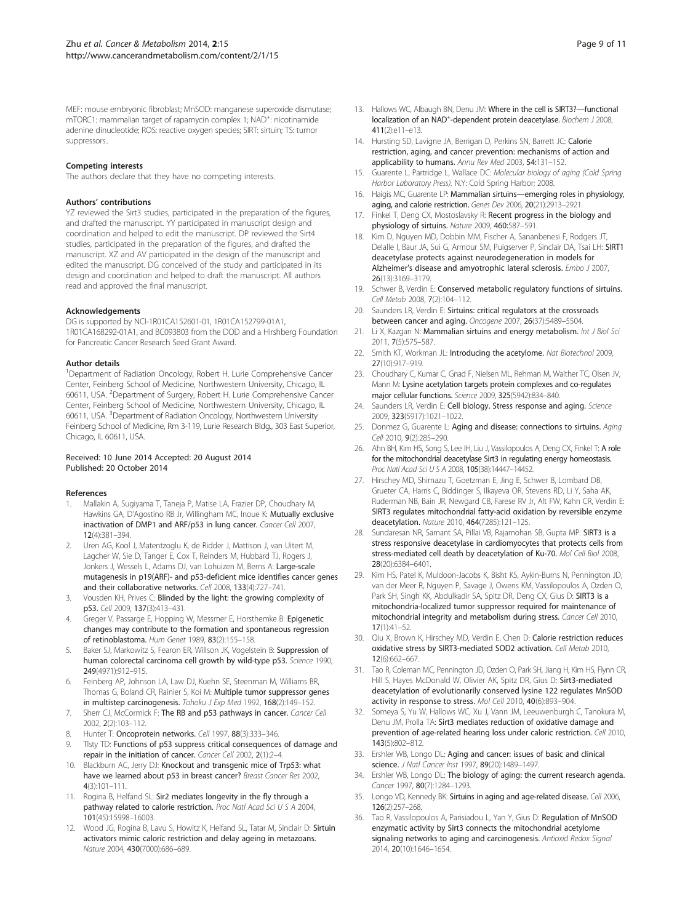<span id="page-8-0"></span>MEF: mouse embryonic fibroblast; MnSOD: manganese superoxide dismutase; mTORC1: mammalian target of rapamycin complex 1; NAD<sup>+</sup>: nicotinamide adenine dinucleotide; ROS: reactive oxygen species; SIRT: sirtuin; TS: tumor suppressors..

#### Competing interests

The authors declare that they have no competing interests.

#### Authors' contributions

YZ reviewed the Sirt3 studies, participated in the preparation of the figures, and drafted the manuscript. YY participated in manuscript design and coordination and helped to edit the manuscript. DP reviewed the Sirt4 studies, participated in the preparation of the figures, and drafted the manuscript. XZ and AV participated in the design of the manuscript and edited the manuscript. DG conceived of the study and participated in its design and coordination and helped to draft the manuscript. All authors read and approved the final manuscript.

#### Acknowledgements

DG is supported by NCI-1R01CA152601-01, 1R01CA152799-01A1, 1R01CA168292-01A1, and BC093803 from the DOD and a Hirshberg Foundation for Pancreatic Cancer Research Seed Grant Award.

#### Author details

<sup>1</sup>Department of Radiation Oncology, Robert H. Lurie Comprehensive Cancer Center, Feinberg School of Medicine, Northwestern University, Chicago, IL 60611, USA. <sup>2</sup>Department of Surgery, Robert H. Lurie Comprehensive Cancer Center, Feinberg School of Medicine, Northwestern University, Chicago, IL 60611, USA. <sup>3</sup>Department of Radiation Oncology, Northwestern University Feinberg School of Medicine, Rm 3-119, Lurie Research Bldg., 303 East Superior, Chicago, IL 60611, USA.

#### Received: 10 June 2014 Accepted: 20 August 2014 Published: 20 October 2014

#### References

- 1. Mallakin A, Sugiyama T, Taneja P, Matise LA, Frazier DP, Choudhary M, Hawkins GA, D'Agostino RB Jr, Willingham MC, Inoue K: Mutually exclusive inactivation of DMP1 and ARF/p53 in lung cancer. Cancer Cell 2007, 12(4):381–394.
- 2. Uren AG, Kool J, Matentzoglu K, de Ridder J, Mattison J, van Uitert M, Lagcher W, Sie D, Tanger E, Cox T, Reinders M, Hubbard TJ, Rogers J, Jonkers J, Wessels L, Adams DJ, van Lohuizen M, Berns A: Large-scale mutagenesis in p19(ARF)- and p53-deficient mice identifies cancer genes and their collaborative networks. Cell 2008, 133(4):727–741.
- 3. Vousden KH, Prives C: Blinded by the light: the growing complexity of p53. Cell 2009, 137(3):413–431.
- 4. Greger V, Passarge E, Hopping W, Messmer E, Horsthemke B: Epigenetic changes may contribute to the formation and spontaneous regression of retinoblastoma. Hum Genet 1989, 83(2):155–158.
- Baker SJ, Markowitz S, Fearon ER, Willson JK, Vogelstein B: Suppression of human colorectal carcinoma cell growth by wild-type p53. Science 1990, 249(4971):912–915.
- 6. Feinberg AP, Johnson LA, Law DJ, Kuehn SE, Steenman M, Williams BR, Thomas G, Boland CR, Rainier S, Koi M: Multiple tumor suppressor genes in multistep carcinogenesis. Tohoku J Exp Med 1992, 168(2):149-152.
- 7. Sherr CJ, McCormick F: The RB and p53 pathways in cancer. Cancer Cell 2002, 2(2):103–112.
- 8. Hunter T: Oncoprotein networks. Cell 1997, 88(3):333-346.
- Tlsty TD: Functions of p53 suppress critical consequences of damage and repair in the initiation of cancer. Cancer Cell 2002, 2(1):2–4.
- 10. Blackburn AC, Jerry DJ: Knockout and transgenic mice of Trp53: what have we learned about p53 in breast cancer? Breast Cancer Res 2002, 4(3):101–111.
- 11. Rogina B, Helfand SL: Sir2 mediates longevity in the fly through a pathway related to calorie restriction. Proc Natl Acad Sci U S A 2004, 101(45):15998–16003.
- 12. Wood JG, Rogina B, Lavu S, Howitz K, Helfand SL, Tatar M, Sinclair D: Sirtuin activators mimic caloric restriction and delay ageing in metazoans. Nature 2004, 430(7000):686–689.
- 13. Hallows WC, Albaugh BN, Denu JM: Where in the cell is SIRT3?-functional localization of an NAD<sup>+</sup>-dependent protein deacetylase. Biochem J 2008, 411(2):e11–e13.
- 14. Hursting SD, Lavigne JA, Berrigan D, Perkins SN, Barrett JC; Calorie restriction, aging, and cancer prevention: mechanisms of action and applicability to humans. Annu Rev Med 2003, 54:131–152.
- 15. Guarente L, Partridge L, Wallace DC: Molecular biology of aging (Cold Spring Harbor Laboratory Press). N.Y: Cold Spring Harbor; 2008.
- 16. Haigis MC, Guarente LP: Mammalian sirtuins—emerging roles in physiology, aging, and calorie restriction. Genes Dev 2006, 20(21):2913–2921.
- 17. Finkel T, Deng CX, Mostoslavsky R: Recent progress in the biology and physiology of sirtuins. Nature 2009, 460:587–591.
- 18. Kim D, Nguyen MD, Dobbin MM, Fischer A, Sananbenesi F, Rodgers JT, Delalle I, Baur JA, Sui G, Armour SM, Puigserver P, Sinclair DA, Tsai LH: SIRT1 deacetylase protects against neurodegeneration in models for Alzheimer's disease and amyotrophic lateral sclerosis. Embo J 2007, 26(13):3169–3179.
- 19. Schwer B, Verdin E: Conserved metabolic regulatory functions of sirtuins. Cell Metab 2008, 7(2):104–112.
- 20. Saunders LR, Verdin E: Sirtuins: critical regulators at the crossroads between cancer and aging. Oncogene 2007, 26(37):5489–5504.
- 21. Li X, Kazgan N: Mammalian sirtuins and energy metabolism. Int J Biol Sci 2011, 7(5):575–587.
- 22. Smith KT, Workman JL: Introducing the acetylome. Nat Biotechnol 2009, 27(10):917–919.
- 23. Choudhary C, Kumar C, Gnad F, Nielsen ML, Rehman M, Walther TC, Olsen JV, Mann M: Lysine acetylation targets protein complexes and co-regulates major cellular functions. Science 2009, 325(5942):834–840.
- Saunders LR, Verdin E: Cell biology. Stress response and aging. Science 2009, 323(5917):1021–1022.
- 25. Donmez G, Guarente L: Aging and disease: connections to sirtuins. Aging Cell 2010, 9(2):285–290.
- 26. Ahn BH, Kim HS, Song S, Lee IH, Liu J, Vassilopoulos A, Deng CX, Finkel T: A role for the mitochondrial deacetylase Sirt3 in regulating energy homeostasis. Proc Natl Acad Sci U S A 2008, 105(38):14447–14452.
- 27. Hirschey MD, Shimazu T, Goetzman E, Jing E, Schwer B, Lombard DB, Grueter CA, Harris C, Biddinger S, Ilkayeva OR, Stevens RD, Li Y, Saha AK, Ruderman NB, Bain JR, Newgard CB, Farese RV Jr, Alt FW, Kahn CR, Verdin E: SIRT3 regulates mitochondrial fatty-acid oxidation by reversible enzyme deacetylation. Nature 2010, 464(7285):121–125.
- 28. Sundaresan NR, Samant SA, Pillai VB, Rajamohan SB, Gupta MP: SIRT3 is a stress responsive deacetylase in cardiomyocytes that protects cells from stress-mediated cell death by deacetylation of Ku-70. Mol Cell Biol 2008, 28(20):6384–6401.
- 29. Kim HS, Patel K, Muldoon-Jacobs K, Bisht KS, Aykin-Burns N, Pennington JD, van der Meer R, Nguyen P, Savage J, Owens KM, Vassilopoulos A, Ozden O, Park SH, Singh KK, Abdulkadir SA, Spitz DR, Deng CX, Gius D: SIRT3 is a mitochondria-localized tumor suppressor required for maintenance of mitochondrial integrity and metabolism during stress. Cancer Cell 2010, 17(1):41–52.
- 30. Qiu X, Brown K, Hirschey MD, Verdin E, Chen D: Calorie restriction reduces oxidative stress by SIRT3-mediated SOD2 activation. Cell Metab 2010, 12(6):662–667.
- 31. Tao R, Coleman MC, Pennington JD, Ozden O, Park SH, Jiang H, Kim HS, Flynn CR, Hill S, Hayes McDonald W, Olivier AK, Spitz DR, Gius D: Sirt3-mediated deacetylation of evolutionarily conserved lysine 122 regulates MnSOD activity in response to stress. Mol Cell 2010, 40(6):893–904.
- 32. Someya S, Yu W, Hallows WC, Xu J, Vann JM, Leeuwenburgh C, Tanokura M, Denu JM, Prolla TA: Sirt3 mediates reduction of oxidative damage and prevention of age-related hearing loss under caloric restriction. Cell 2010, 143(5):802–812.
- 33. Ershler WB, Longo DL: Aging and cancer: issues of basic and clinical science. J Natl Cancer Inst 1997, 89(20):1489–1497.
- 34. Ershler WB, Longo DL: The biology of aging: the current research agenda. Cancer 1997, 80(7):1284–1293.
- 35. Longo VD, Kennedy BK: Sirtuins in aging and age-related disease. Cell 2006, 126(2):257–268.
- 36. Tao R, Vassilopoulos A, Parisiadou L, Yan Y, Gius D: Regulation of MnSOD enzymatic activity by Sirt3 connects the mitochondrial acetylome signaling networks to aging and carcinogenesis. Antioxid Redox Signal 2014, 20(10):1646–1654.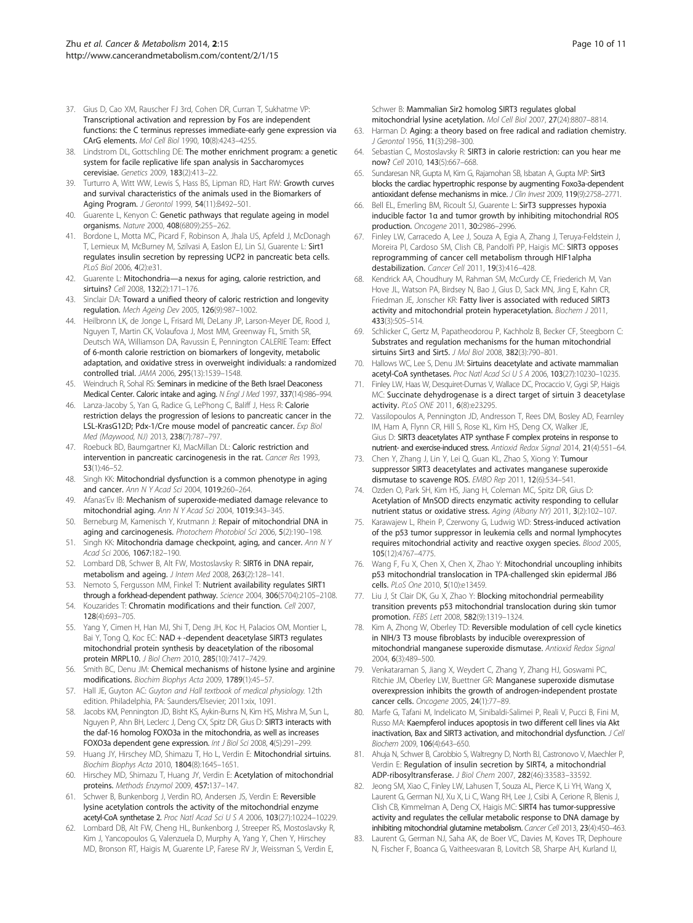- <span id="page-9-0"></span>37. Gius D, Cao XM, Rauscher FJ 3rd, Cohen DR, Curran T, Sukhatme VP: Transcriptional activation and repression by Fos are independent functions: the C terminus represses immediate-early gene expression via CArG elements. Mol Cell Biol 1990, 10(8):4243–4255.
- 38. Lindstrom DL, Gottschling DE: The mother enrichment program: a genetic system for facile replicative life span analysis in Saccharomyces cerevisiae. Genetics 2009, 183(2):413–22.
- 39. Turturro A, Witt WW, Lewis S, Hass BS, Lipman RD, Hart RW: Growth curves and survival characteristics of the animals used in the Biomarkers of Aging Program. J Gerontol 1999, 54(11):B492–501.
- Guarente L, Kenyon C: Genetic pathways that regulate ageing in model organisms. Nature 2000, 408(6809):255–262.
- 41. Bordone L, Motta MC, Picard F, Robinson A, Jhala US, Apfeld J, McDonagh T, Lemieux M, McBurney M, Szilvasi A, Easlon EJ, Lin SJ, Guarente L: Sirt1 regulates insulin secretion by repressing UCP2 in pancreatic beta cells. PLoS Biol 2006, 4(2):e31.
- 42. Guarente L: Mitochondria—a nexus for aging, calorie restriction, and sirtuins? Cell 2008, 132(2):171-176.
- 43. Sinclair DA: Toward a unified theory of caloric restriction and longevity regulation. Mech Ageing Dev 2005, 126(9):987–1002.
- 44. Heilbronn LK, de Jonge L, Frisard MI, DeLany JP, Larson-Meyer DE, Rood J, Nguyen T, Martin CK, Volaufova J, Most MM, Greenway FL, Smith SR, Deutsch WA, Williamson DA, Ravussin E, Pennington CALERIE Team: Effect of 6-month calorie restriction on biomarkers of longevity, metabolic adaptation, and oxidative stress in overweight individuals: a randomized controlled trial. JAMA 2006, 295(13):1539–1548.
- 45. Weindruch R, Sohal RS: Seminars in medicine of the Beth Israel Deaconess Medical Center. Caloric intake and aging. N Engl J Med 1997, 337(14):986–994.
- 46. Lanza-Jacoby S, Yan G, Radice G, LePhong C, Baliff J, Hess R: Calorie restriction delays the progression of lesions to pancreatic cancer in the LSL-KrasG12D; Pdx-1/Cre mouse model of pancreatic cancer. Exp Biol Med (Maywood, NJ) 2013, 238(7):787–797.
- 47. Roebuck BD, Baumgartner KJ, MacMillan DL: Caloric restriction and intervention in pancreatic carcinogenesis in the rat. Cancer Res 1993, 53(1):46–52.
- 48. Singh KK: Mitochondrial dysfunction is a common phenotype in aging and cancer. Ann N Y Acad Sci 2004, 1019:260–264.
- 49. Afanas'Ev IB: Mechanism of superoxide-mediated damage relevance to mitochondrial aging. Ann N Y Acad Sci 2004, 1019:343–345.
- 50. Berneburg M, Kamenisch Y, Krutmann J: Repair of mitochondrial DNA in aging and carcinogenesis. Photochem Photobiol Sci 2006, 5(2):190–198.
- 51. Singh KK: Mitochondria damage checkpoint, aging, and cancer. Ann N Y Acad Sci 2006, 1067:182–190.
- 52. Lombard DB, Schwer B, Alt FW, Mostoslavsky R: SIRT6 in DNA repair, metabolism and ageing. J Intern Med 2008, 263(2):128–141.
- 53. Nemoto S, Fergusson MM, Finkel T: Nutrient availability regulates SIRT1 through a forkhead-dependent pathway. Science 2004, 306(5704):2105–2108.
- 54. Kouzarides T: Chromatin modifications and their function. Cell 2007, 128(4):693–705.
- 55. Yang Y, Cimen H, Han MJ, Shi T, Deng JH, Koc H, Palacios OM, Montier L, Bai Y, Tong Q, Koc EC: NAD + -dependent deacetylase SIRT3 regulates mitochondrial protein synthesis by deacetylation of the ribosomal protein MRPL10. J Biol Chem 2010, 285(10):7417–7429.
- Smith BC, Denu JM: Chemical mechanisms of histone lysine and arginine modifications. Biochim Biophys Acta 2009, 1789(1):45–57.
- 57. Hall JE, Guyton AC: Guyton and Hall textbook of medical physiology. 12th edition. Philadelphia, PA: Saunders/Elsevier; 2011:xix, 1091.
- 58. Jacobs KM, Pennington JD, Bisht KS, Aykin-Burns N, Kim HS, Mishra M, Sun L, Nguyen P, Ahn BH, Leclerc J, Deng CX, Spitz DR, Gius D: SIRT3 interacts with the daf-16 homolog FOXO3a in the mitochondria, as well as increases FOXO3a dependent gene expression. Int J Biol Sci 2008, 4(5):291–299.
- 59. Huang JY, Hirschey MD, Shimazu T, Ho L, Verdin E: Mitochondrial sirtuins. Biochim Biophys Acta 2010, 1804(8):1645–1651.
- 60. Hirschey MD, Shimazu T, Huang JY, Verdin E: Acetylation of mitochondrial proteins. Methods Enzymol 2009, 457:137–147.
- 61. Schwer B, Bunkenborg J, Verdin RO, Andersen JS, Verdin E: Reversible lysine acetylation controls the activity of the mitochondrial enzyme acetyl-CoA synthetase 2. Proc Natl Acad Sci U S A 2006, 103(27):10224–10229.
- 62. Lombard DB, Alt FW, Cheng HL, Bunkenborg J, Streeper RS, Mostoslavsky R, Kim J, Yancopoulos G, Valenzuela D, Murphy A, Yang Y, Chen Y, Hirschey MD, Bronson RT, Haigis M, Guarente LP, Farese RV Jr, Weissman S, Verdin E,

Schwer B: Mammalian Sir2 homolog SIRT3 regulates global mitochondrial lysine acetylation. Mol Cell Biol 2007, 27(24):8807–8814.

- 63. Harman D: Aging: a theory based on free radical and radiation chemistry. J Gerontol 1956, 11(3):298–300.
- 64. Sebastian C, Mostoslavsky R: SIRT3 in calorie restriction: can you hear me now? Cell 2010, 143(5):667-668.
- 65. Sundaresan NR, Gupta M, Kim G, Rajamohan SB, Isbatan A, Gupta MP: Sirt3 blocks the cardiac hypertrophic response by augmenting Foxo3a-dependent antioxidant defense mechanisms in mice. J Clin Invest 2009, 119(9):2758–2771.
- 66. Bell EL, Emerling BM, Ricoult SJ, Guarente L: SirT3 suppresses hypoxia inducible factor 1α and tumor growth by inhibiting mitochondrial ROS production. Oncogene 2011, 30:2986–2996.
- 67. Finley LW, Carracedo A, Lee J, Souza A, Egia A, Zhang J, Teruya-Feldstein J, Moreira PI, Cardoso SM, Clish CB, Pandolfi PP, Haigis MC: SIRT3 opposes reprogramming of cancer cell metabolism through HIF1alpha destabilization. Cancer Cell 2011, 19(3):416–428.
- Kendrick AA, Choudhury M, Rahman SM, McCurdy CE, Friederich M, Van Hove JL, Watson PA, Birdsey N, Bao J, Gius D, Sack MN, Jing E, Kahn CR, Friedman JE, Jonscher KR: Fatty liver is associated with reduced SIRT3 activity and mitochondrial protein hyperacetylation. Biochem J 2011, 433(3):505–514.
- 69. Schlicker C, Gertz M, Papatheodorou P, Kachholz B, Becker CF, Steegborn C: Substrates and regulation mechanisms for the human mitochondrial sirtuins Sirt3 and Sirt5. J Mol Biol 2008, 382(3):790–801.
- 70. Hallows WC, Lee S, Denu JM: Sirtuins deacetylate and activate mammalian acetyl-CoA synthetases. Proc Natl Acad Sci U S A 2006, 103(27):10230-10235.
- 71. Finley LW, Haas W, Desquiret-Dumas V, Wallace DC, Procaccio V, Gygi SP, Haigis MC: Succinate dehydrogenase is a direct target of sirtuin 3 deacetylase activity. PLoS ONE 2011, 6(8):e23295.
- 72. Vassilopoulos A, Pennington JD, Andresson T, Rees DM, Bosley AD, Fearnley IM, Ham A, Flynn CR, Hill S, Rose KL, Kim HS, Deng CX, Walker JE, Gius D: SIRT3 deacetylates ATP synthase F complex proteins in response to nutrient- and exercise-induced stress. Antioxid Redox Signal 2014, 21(4):551–64.
- 73. Chen Y, Zhang J, Lin Y, Lei Q, Guan KL, Zhao S, Xiong Y: Tumour suppressor SIRT3 deacetylates and activates manganese superoxide dismutase to scavenge ROS. EMBO Rep 2011, 12(6):534–541.
- 74. Ozden O, Park SH, Kim HS, Jiang H, Coleman MC, Spitz DR, Gius D: Acetylation of MnSOD directs enzymatic activity responding to cellular nutrient status or oxidative stress. Aging (Albany NY) 2011, 3(2):102-107.
- 75. Karawajew L, Rhein P, Czerwony G, Ludwig WD: Stress-induced activation of the p53 tumor suppressor in leukemia cells and normal lymphocytes requires mitochondrial activity and reactive oxygen species. Blood 2005, 105(12):4767–4775.
- 76. Wang F, Fu X, Chen X, Chen X, Zhao Y: Mitochondrial uncoupling inhibits p53 mitochondrial translocation in TPA-challenged skin epidermal JB6 cells. PLoS One 2010, 5(10):e13459.
- 77. Liu J, St Clair DK, Gu X, Zhao Y: Blocking mitochondrial permeability transition prevents p53 mitochondrial translocation during skin tumor promotion. FEBS Lett 2008, 582(9):1319–1324.
- 78. Kim A, Zhong W, Oberley TD: Reversible modulation of cell cycle kinetics in NIH/3 T3 mouse fibroblasts by inducible overexpression of mitochondrial manganese superoxide dismutase. Antioxid Redox Signal 2004, 6(3):489–500.
- 79. Venkataraman S, Jiang X, Weydert C, Zhang Y, Zhang HJ, Goswami PC, Ritchie JM, Oberley LW, Buettner GR: Manganese superoxide dismutase overexpression inhibits the growth of androgen-independent prostate cancer cells. Oncogene 2005, 24(1):77–89.
- 80. Marfe G, Tafani M, Indelicato M, Sinibaldi-Salimei P, Reali V, Pucci B, Fini M, Russo MA: Kaempferol induces apoptosis in two different cell lines via Akt inactivation, Bax and SIRT3 activation, and mitochondrial dysfunction. J Cell Biochem 2009, 106(4):643–650.
- 81. Ahuja N, Schwer B, Carobbio S, Waltregny D, North BJ, Castronovo V, Maechler P, Verdin E: Regulation of insulin secretion by SIRT4, a mitochondrial ADP-ribosyltransferase. J Biol Chem 2007, 282(46):33583–33592.
- 82. Jeong SM, Xiao C, Finley LW, Lahusen T, Souza AL, Pierce K, Li YH, Wang X, Laurent G, German NJ, Xu X, Li C, Wang RH, Lee J, Csibi A, Cerione R, Blenis J, Clish CB, Kimmelman A, Deng CX, Haigis MC: SIRT4 has tumor-suppressive activity and regulates the cellular metabolic response to DNA damage by inhibiting mitochondrial glutamine metabolism. Cancer Cell 2013, 23(4):450–463.
- 83. Laurent G, German NJ, Saha AK, de Boer VC, Davies M, Koves TR, Dephoure N, Fischer F, Boanca G, Vaitheesvaran B, Lovitch SB, Sharpe AH, Kurland IJ,